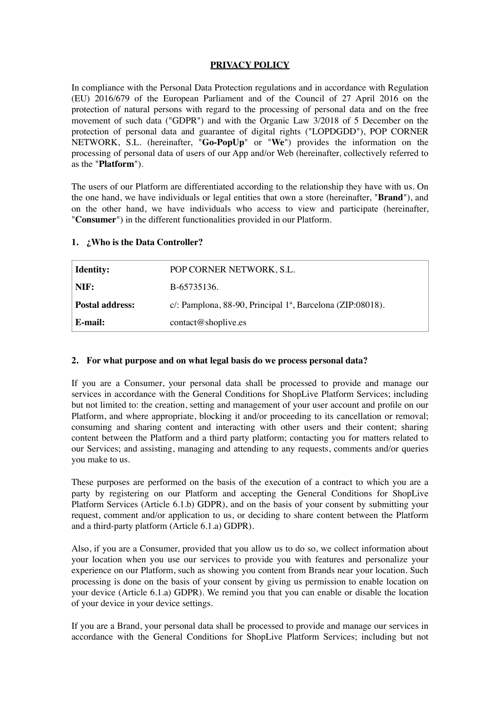## **PRIVACY POLICY**

In compliance with the Personal Data Protection regulations and in accordance with Regulation (EU) 2016/679 of the European Parliament and of the Council of 27 April 2016 on the protection of natural persons with regard to the processing of personal data and on the free movement of such data ("GDPR") and with the Organic Law 3/2018 of 5 December on the protection of personal data and guarantee of digital rights ("LOPDGDD"), POP CORNER NETWORK, S.L. (hereinafter, "**Go-PopUp**" or "**We**") provides the information on the processing of personal data of users of our App and/or Web (hereinafter, collectively referred to as the "**Platform**").

The users of our Platform are differentiated according to the relationship they have with us. On the one hand, we have individuals or legal entities that own a store (hereinafter, "**Brand**"), and on the other hand, we have individuals who access to view and participate (hereinafter, "**Consumer**") in the different functionalities provided in our Platform.

| <b>Identity:</b>       | POP CORNER NETWORK, S.L.                                      |
|------------------------|---------------------------------------------------------------|
| NIF:                   | B-65735136.                                                   |
| <b>Postal address:</b> | c/: Pamplona, 88-90, Principal $1^a$ , Barcelona (ZIP:08018). |
| E-mail:                | contact@shoplive.es                                           |

## **1. ¿Who is the Data Controller?**

#### **2. For what purpose and on what legal basis do we process personal data?**

If you are a Consumer, your personal data shall be processed to provide and manage our services in accordance with the General Conditions for ShopLive Platform Services; including but not limited to: the creation, setting and management of your user account and profile on our Platform, and where appropriate, blocking it and/or proceeding to its cancellation or removal; consuming and sharing content and interacting with other users and their content; sharing content between the Platform and a third party platform; contacting you for matters related to our Services; and assisting, managing and attending to any requests, comments and/or queries you make to us.

These purposes are performed on the basis of the execution of a contract to which you are a party by registering on our Platform and accepting the General Conditions for ShopLive Platform Services (Article 6.1.b) GDPR), and on the basis of your consent by submitting your request, comment and/or application to us, or deciding to share content between the Platform and a third-party platform (Article 6.1.a) GDPR).

Also, if you are a Consumer, provided that you allow us to do so, we collect information about your location when you use our services to provide you with features and personalize your experience on our Platform, such as showing you content from Brands near your location. Such processing is done on the basis of your consent by giving us permission to enable location on your device (Article 6.1.a) GDPR). We remind you that you can enable or disable the location of your device in your device settings.

If you are a Brand, your personal data shall be processed to provide and manage our services in accordance with the General Conditions for ShopLive Platform Services; including but not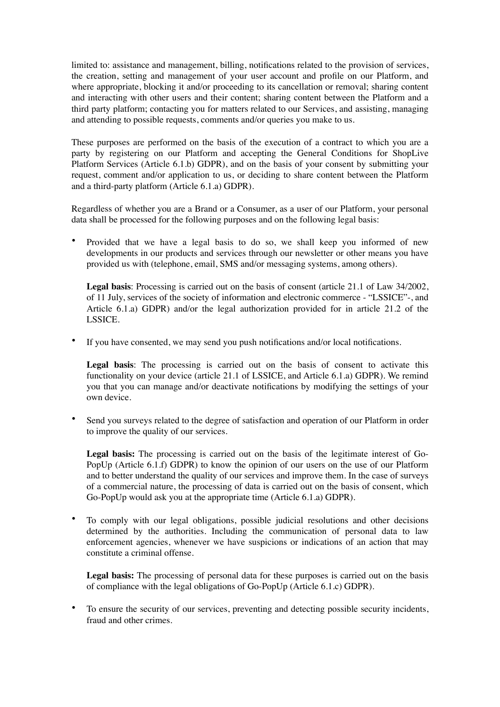limited to: assistance and management, billing, notifications related to the provision of services, the creation, setting and management of your user account and profile on our Platform, and where appropriate, blocking it and/or proceeding to its cancellation or removal; sharing content and interacting with other users and their content; sharing content between the Platform and a third party platform; contacting you for matters related to our Services, and assisting, managing and attending to possible requests, comments and/or queries you make to us.

These purposes are performed on the basis of the execution of a contract to which you are a party by registering on our Platform and accepting the General Conditions for ShopLive Platform Services (Article 6.1.b) GDPR), and on the basis of your consent by submitting your request, comment and/or application to us, or deciding to share content between the Platform and a third-party platform (Article 6.1.a) GDPR).

Regardless of whether you are a Brand or a Consumer, as a user of our Platform, your personal data shall be processed for the following purposes and on the following legal basis:

• Provided that we have a legal basis to do so, we shall keep you informed of new developments in our products and services through our newsletter or other means you have provided us with (telephone, email, SMS and/or messaging systems, among others).

**Legal basis**: Processing is carried out on the basis of consent (article 21.1 of Law 34/2002, of 11 July, services of the society of information and electronic commerce - "LSSICE"-, and Article 6.1.a) GDPR) and/or the legal authorization provided for in article 21.2 of the LSSICE.

• If you have consented, we may send you push notifications and/or local notifications.

**Legal basis**: The processing is carried out on the basis of consent to activate this functionality on your device (article 21.1 of LSSICE, and Article 6.1.a) GDPR). We remind you that you can manage and/or deactivate notifications by modifying the settings of your own device.

Send you surveys related to the degree of satisfaction and operation of our Platform in order to improve the quality of our services.

**Legal basis:** The processing is carried out on the basis of the legitimate interest of Go-PopUp (Article 6.1.f) GDPR) to know the opinion of our users on the use of our Platform and to better understand the quality of our services and improve them. In the case of surveys of a commercial nature, the processing of data is carried out on the basis of consent, which Go-PopUp would ask you at the appropriate time (Article 6.1.a) GDPR).

• To comply with our legal obligations, possible judicial resolutions and other decisions determined by the authorities. Including the communication of personal data to law enforcement agencies, whenever we have suspicions or indications of an action that may constitute a criminal offense.

**Legal basis:** The processing of personal data for these purposes is carried out on the basis of compliance with the legal obligations of Go-PopUp (Article 6.1.c) GDPR).

• To ensure the security of our services, preventing and detecting possible security incidents, fraud and other crimes.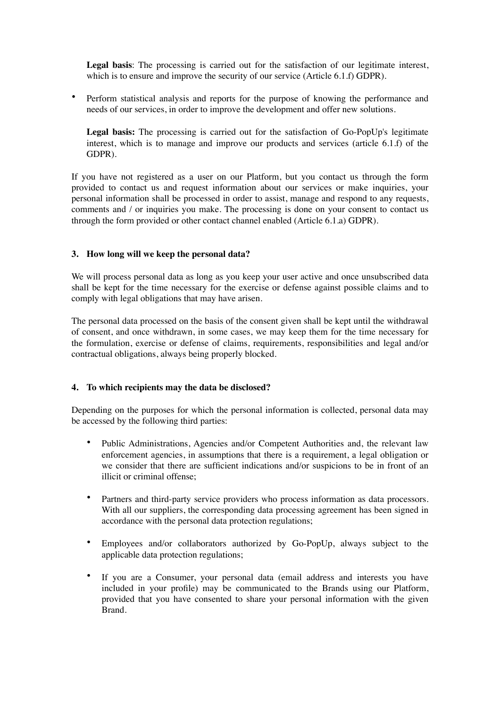**Legal basis**: The processing is carried out for the satisfaction of our legitimate interest, which is to ensure and improve the security of our service (Article 6.1.f) GDPR).

• Perform statistical analysis and reports for the purpose of knowing the performance and needs of our services, in order to improve the development and offer new solutions.

**Legal basis:** The processing is carried out for the satisfaction of Go-PopUp's legitimate interest, which is to manage and improve our products and services (article 6.1.f) of the GDPR).

If you have not registered as a user on our Platform, but you contact us through the form provided to contact us and request information about our services or make inquiries, your personal information shall be processed in order to assist, manage and respond to any requests, comments and / or inquiries you make. The processing is done on your consent to contact us through the form provided or other contact channel enabled (Article 6.1.a) GDPR).

#### **3. How long will we keep the personal data?**

We will process personal data as long as you keep your user active and once unsubscribed data shall be kept for the time necessary for the exercise or defense against possible claims and to comply with legal obligations that may have arisen.

The personal data processed on the basis of the consent given shall be kept until the withdrawal of consent, and once withdrawn, in some cases, we may keep them for the time necessary for the formulation, exercise or defense of claims, requirements, responsibilities and legal and/or contractual obligations, always being properly blocked.

#### **4. To which recipients may the data be disclosed?**

Depending on the purposes for which the personal information is collected, personal data may be accessed by the following third parties:

- Public Administrations, Agencies and/or Competent Authorities and, the relevant law enforcement agencies, in assumptions that there is a requirement, a legal obligation or we consider that there are sufficient indications and/or suspicions to be in front of an illicit or criminal offense;
- Partners and third-party service providers who process information as data processors. With all our suppliers, the corresponding data processing agreement has been signed in accordance with the personal data protection regulations;
- Employees and/or collaborators authorized by Go-PopUp, always subject to the applicable data protection regulations;
- If you are a Consumer, your personal data (email address and interests you have included in your profile) may be communicated to the Brands using our Platform, provided that you have consented to share your personal information with the given Brand.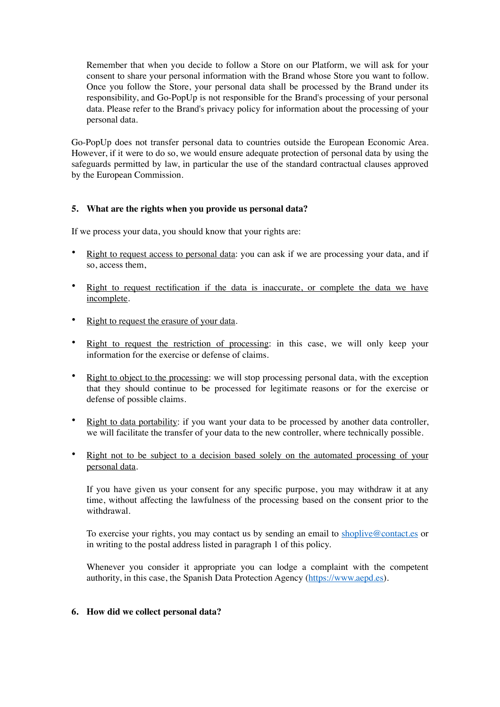Remember that when you decide to follow a Store on our Platform, we will ask for your consent to share your personal information with the Brand whose Store you want to follow. Once you follow the Store, your personal data shall be processed by the Brand under its responsibility, and Go-PopUp is not responsible for the Brand's processing of your personal data. Please refer to the Brand's privacy policy for information about the processing of your personal data.

Go-PopUp does not transfer personal data to countries outside the European Economic Area. However, if it were to do so, we would ensure adequate protection of personal data by using the safeguards permitted by law, in particular the use of the standard contractual clauses approved by the European Commission.

## **5. What are the rights when you provide us personal data?**

If we process your data, you should know that your rights are:

- Right to request access to personal data: you can ask if we are processing your data, and if so, access them,
- Right to request rectification if the data is inaccurate, or complete the data we have incomplete.
- Right to request the erasure of your data.
- Right to request the restriction of processing: in this case, we will only keep your information for the exercise or defense of claims.
- Right to object to the processing: we will stop processing personal data, with the exception that they should continue to be processed for legitimate reasons or for the exercise or defense of possible claims.
- Right to data portability: if you want your data to be processed by another data controller, we will facilitate the transfer of your data to the new controller, where technically possible.
- Right not to be subject to a decision based solely on the automated processing of your personal data.

If you have given us your consent for any specific purpose, you may withdraw it at any time, without affecting the lawfulness of the processing based on the consent prior to the withdrawal.

To exercise your rights, you may contact us by sending an email to [shoplive@contact.es](mailto:shoplive@contact.es) or in writing to the postal address listed in paragraph 1 of this policy.

Whenever you consider it appropriate you can lodge a complaint with the competent authority, in this case, the Spanish Data Protection Agency [\(https://www.aepd.es](https://www.aepd.es)).

#### **6. How did we collect personal data?**